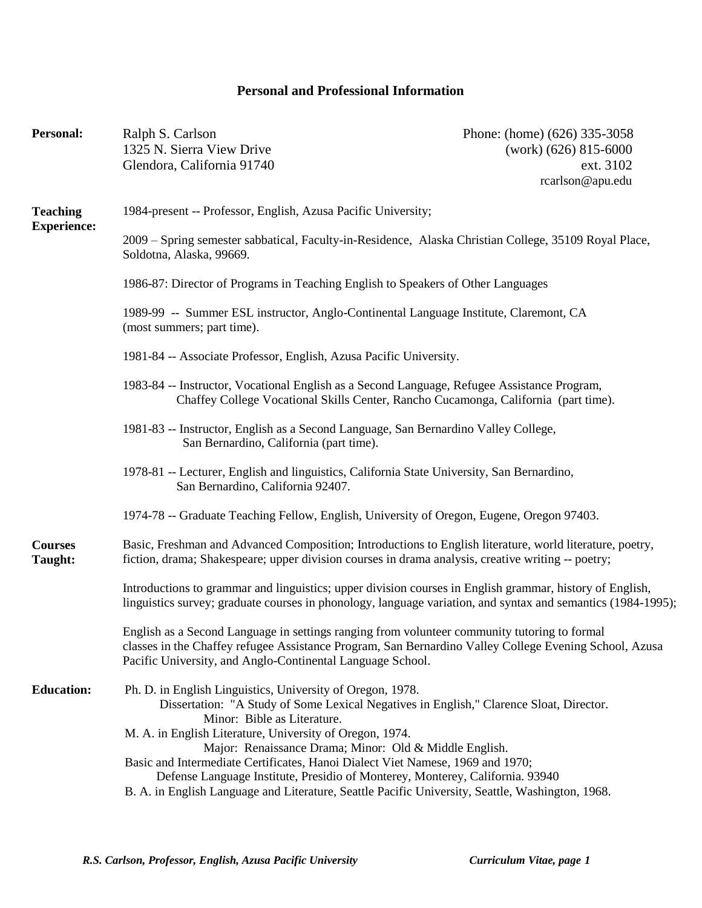## **Personal and Professional Information**

| <b>Personal:</b>                      | Ralph S. Carlson<br>1325 N. Sierra View Drive<br>Glendora, California 91740                                                                                                                                                                                                                                                   | Phone: (home) (626) 335-3058<br>$(work)$ (626) 815-6000<br>ext. 3102<br>rcarlson@apu.edu |
|---------------------------------------|-------------------------------------------------------------------------------------------------------------------------------------------------------------------------------------------------------------------------------------------------------------------------------------------------------------------------------|------------------------------------------------------------------------------------------|
| <b>Teaching</b><br><b>Experience:</b> | 1984-present -- Professor, English, Azusa Pacific University;                                                                                                                                                                                                                                                                 |                                                                                          |
|                                       | 2009 – Spring semester sabbatical, Faculty-in-Residence, Alaska Christian College, 35109 Royal Place,<br>Soldotna, Alaska, 99669.                                                                                                                                                                                             |                                                                                          |
|                                       | 1986-87: Director of Programs in Teaching English to Speakers of Other Languages                                                                                                                                                                                                                                              |                                                                                          |
|                                       | 1989-99 -- Summer ESL instructor, Anglo-Continental Language Institute, Claremont, CA<br>(most summers; part time).                                                                                                                                                                                                           |                                                                                          |
|                                       | 1981-84 -- Associate Professor, English, Azusa Pacific University.                                                                                                                                                                                                                                                            |                                                                                          |
|                                       | 1983-84 -- Instructor, Vocational English as a Second Language, Refugee Assistance Program,<br>Chaffey College Vocational Skills Center, Rancho Cucamonga, California (part time).                                                                                                                                            |                                                                                          |
|                                       | 1981-83 -- Instructor, English as a Second Language, San Bernardino Valley College,<br>San Bernardino, California (part time).                                                                                                                                                                                                |                                                                                          |
|                                       | 1978-81 -- Lecturer, English and linguistics, California State University, San Bernardino,<br>San Bernardino, California 92407.                                                                                                                                                                                               |                                                                                          |
|                                       | 1974-78 -- Graduate Teaching Fellow, English, University of Oregon, Eugene, Oregon 97403.                                                                                                                                                                                                                                     |                                                                                          |
| <b>Courses</b><br>Taught:             | Basic, Freshman and Advanced Composition; Introductions to English literature, world literature, poetry,<br>fiction, drama; Shakespeare; upper division courses in drama analysis, creative writing -- poetry;                                                                                                                |                                                                                          |
|                                       | Introductions to grammar and linguistics; upper division courses in English grammar, history of English,<br>linguistics survey; graduate courses in phonology, language variation, and syntax and semantics (1984-1995);                                                                                                      |                                                                                          |
|                                       | English as a Second Language in settings ranging from volunteer community tutoring to formal<br>classes in the Chaffey refugee Assistance Program, San Bernardino Valley College Evening School, Azusa<br>Pacific University, and Anglo-Continental Language School.                                                          |                                                                                          |
| <b>Education:</b>                     | Ph. D. in English Linguistics, University of Oregon, 1978.<br>Dissertation: "A Study of Some Lexical Negatives in English," Clarence Sloat, Director.                                                                                                                                                                         |                                                                                          |
|                                       | Minor: Bible as Literature.<br>M. A. in English Literature, University of Oregon, 1974.                                                                                                                                                                                                                                       |                                                                                          |
|                                       | Major: Renaissance Drama; Minor: Old & Middle English.<br>Basic and Intermediate Certificates, Hanoi Dialect Viet Namese, 1969 and 1970;<br>Defense Language Institute, Presidio of Monterey, Monterey, California. 93940<br>B. A. in English Language and Literature, Seattle Pacific University, Seattle, Washington, 1968. |                                                                                          |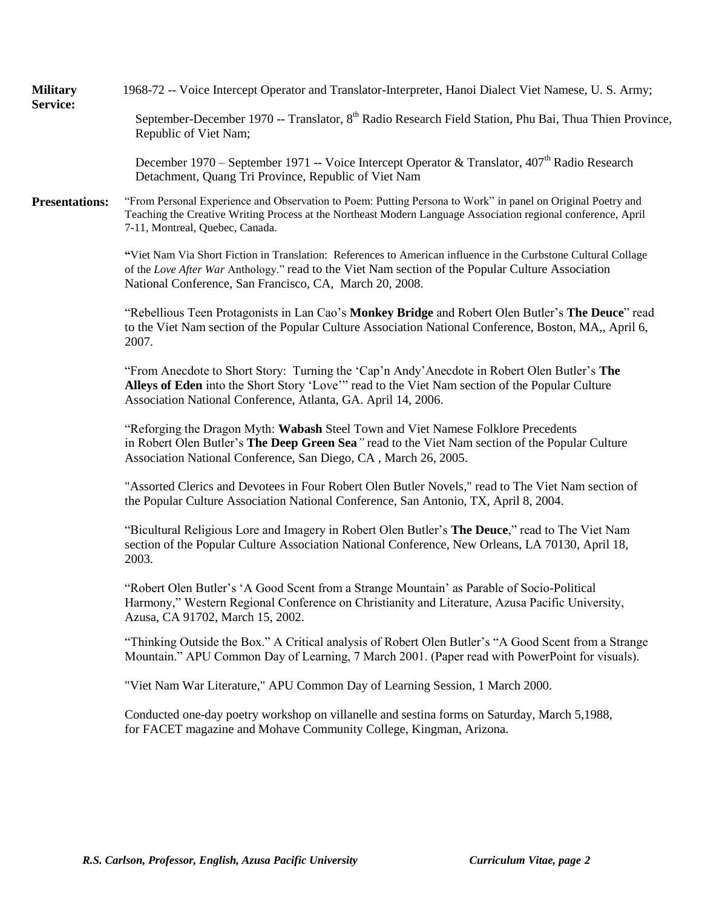| <b>Military</b><br>Service: | 1968-72 -- Voice Intercept Operator and Translator-Interpreter, Hanoi Dialect Viet Namese, U. S. Army;                                                                                                                                                                         |
|-----------------------------|--------------------------------------------------------------------------------------------------------------------------------------------------------------------------------------------------------------------------------------------------------------------------------|
|                             | September-December 1970 -- Translator, 8 <sup>th</sup> Radio Research Field Station, Phu Bai, Thua Thien Province,<br>Republic of Viet Nam;                                                                                                                                    |
|                             | December 1970 – September 1971 -- Voice Intercept Operator & Translator, 407 <sup>th</sup> Radio Research<br>Detachment, Quang Tri Province, Republic of Viet Nam                                                                                                              |
| <b>Presentations:</b>       | "From Personal Experience and Observation to Poem: Putting Persona to Work" in panel on Original Poetry and<br>Teaching the Creative Writing Process at the Northeast Modern Language Association regional conference, April<br>7-11, Montreal, Quebec, Canada.                |
|                             | "Viet Nam Via Short Fiction in Translation: References to American influence in the Curbstone Cultural Collage<br>of the Love After War Anthology." read to the Viet Nam section of the Popular Culture Association<br>National Conference, San Francisco, CA, March 20, 2008. |
|                             | "Rebellious Teen Protagonists in Lan Cao's Monkey Bridge and Robert Olen Butler's The Deuce" read<br>to the Viet Nam section of the Popular Culture Association National Conference, Boston, MA,, April 6,<br>2007.                                                            |
|                             | "From Anecdote to Short Story: Turning the 'Cap'n Andy' Anecdote in Robert Olen Butler's The<br>Alleys of Eden into the Short Story 'Love'" read to the Viet Nam section of the Popular Culture<br>Association National Conference, Atlanta, GA. April 14, 2006.               |
|                             | "Reforging the Dragon Myth: Wabash Steel Town and Viet Namese Folklore Precedents<br>in Robert Olen Butler's The Deep Green Sea" read to the Viet Nam section of the Popular Culture<br>Association National Conference, San Diego, CA, March 26, 2005.                        |
|                             | "Assorted Clerics and Devotees in Four Robert Olen Butler Novels," read to The Viet Nam section of<br>the Popular Culture Association National Conference, San Antonio, TX, April 8, 2004.                                                                                     |
|                             | "Bicultural Religious Lore and Imagery in Robert Olen Butler's The Deuce," read to The Viet Nam<br>section of the Popular Culture Association National Conference, New Orleans, LA 70130, April 18,<br>2003.                                                                   |
|                             | "Robert Olen Butler's 'A Good Scent from a Strange Mountain' as Parable of Socio-Political<br>Harmony," Western Regional Conference on Christianity and Literature, Azusa Pacific University,<br>Azusa, CA 91702, March 15, 2002.                                              |
|                             | "Thinking Outside the Box." A Critical analysis of Robert Olen Butler's "A Good Scent from a Strange<br>Mountain." APU Common Day of Learning, 7 March 2001. (Paper read with PowerPoint for visuals).                                                                         |
|                             | "Viet Nam War Literature," APU Common Day of Learning Session, 1 March 2000.                                                                                                                                                                                                   |
|                             | Conducted one-day poetry workshop on villanelle and sestina forms on Saturday, March 5,1988,<br>for FACET magazine and Mohave Community College, Kingman, Arizona.                                                                                                             |
|                             |                                                                                                                                                                                                                                                                                |
|                             |                                                                                                                                                                                                                                                                                |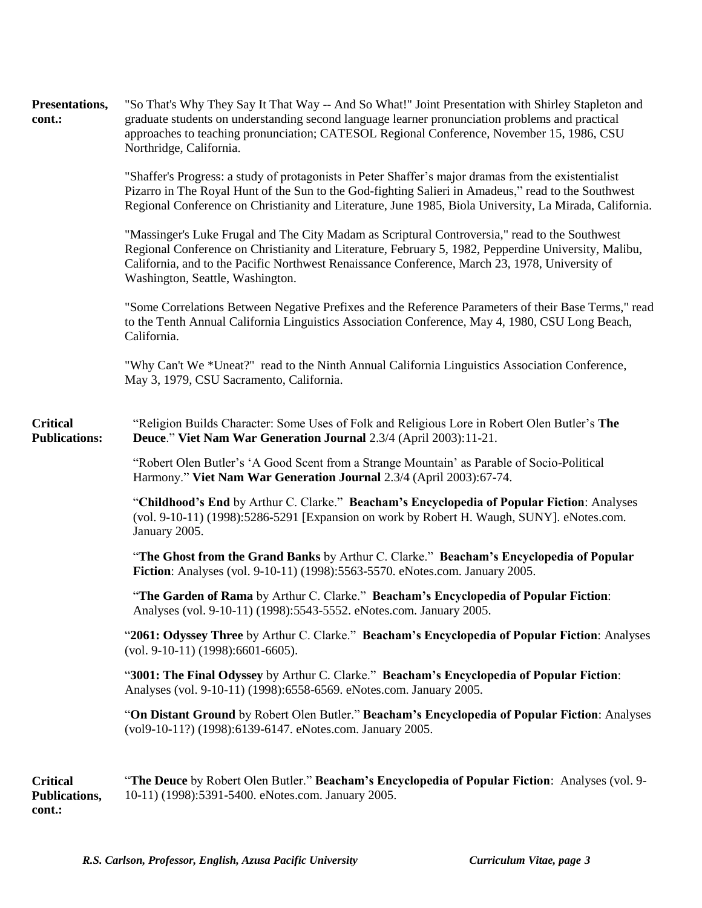| Presentations,<br>cont.:                   | "So That's Why They Say It That Way -- And So What!" Joint Presentation with Shirley Stapleton and<br>graduate students on understanding second language learner pronunciation problems and practical<br>approaches to teaching pronunciation; CATESOL Regional Conference, November 15, 1986, CSU<br>Northridge, California.                |
|--------------------------------------------|----------------------------------------------------------------------------------------------------------------------------------------------------------------------------------------------------------------------------------------------------------------------------------------------------------------------------------------------|
|                                            | "Shaffer's Progress: a study of protagonists in Peter Shaffer's major dramas from the existentialist<br>Pizarro in The Royal Hunt of the Sun to the God-fighting Salieri in Amadeus," read to the Southwest<br>Regional Conference on Christianity and Literature, June 1985, Biola University, La Mirada, California.                       |
|                                            | "Massinger's Luke Frugal and The City Madam as Scriptural Controversia," read to the Southwest<br>Regional Conference on Christianity and Literature, February 5, 1982, Pepperdine University, Malibu,<br>California, and to the Pacific Northwest Renaissance Conference, March 23, 1978, University of<br>Washington, Seattle, Washington. |
|                                            | "Some Correlations Between Negative Prefixes and the Reference Parameters of their Base Terms," read<br>to the Tenth Annual California Linguistics Association Conference, May 4, 1980, CSU Long Beach,<br>California.                                                                                                                       |
|                                            | "Why Can't We *Uneat?" read to the Ninth Annual California Linguistics Association Conference,<br>May 3, 1979, CSU Sacramento, California.                                                                                                                                                                                                   |
| <b>Critical</b><br><b>Publications:</b>    | "Religion Builds Character: Some Uses of Folk and Religious Lore in Robert Olen Butler's The<br>Deuce." Viet Nam War Generation Journal 2.3/4 (April 2003):11-21.                                                                                                                                                                            |
|                                            | "Robert Olen Butler's 'A Good Scent from a Strange Mountain' as Parable of Socio-Political<br>Harmony." Viet Nam War Generation Journal 2.3/4 (April 2003):67-74.                                                                                                                                                                            |
|                                            | "Childhood's End by Arthur C. Clarke." Beacham's Encyclopedia of Popular Fiction: Analyses<br>(vol. 9-10-11) (1998):5286-5291 [Expansion on work by Robert H. Waugh, SUNY]. eNotes.com.<br>January 2005.                                                                                                                                     |
|                                            | "The Ghost from the Grand Banks by Arthur C. Clarke." Beacham's Encyclopedia of Popular<br>Fiction: Analyses (vol. 9-10-11) (1998):5563-5570. eNotes.com. January 2005.                                                                                                                                                                      |
|                                            | "The Garden of Rama by Arthur C. Clarke." Beacham's Encyclopedia of Popular Fiction:<br>Analyses (vol. 9-10-11) (1998):5543-5552. eNotes.com. January 2005.                                                                                                                                                                                  |
|                                            | "2061: Odyssey Three by Arthur C. Clarke." Beacham's Encyclopedia of Popular Fiction: Analyses<br>$(vol. 9-10-11) (1998): 6601-6605).$                                                                                                                                                                                                       |
|                                            | "3001: The Final Odyssey by Arthur C. Clarke." Beacham's Encyclopedia of Popular Fiction:<br>Analyses (vol. 9-10-11) (1998): 6558-6569. eNotes.com. January 2005.                                                                                                                                                                            |
|                                            | "On Distant Ground by Robert Olen Butler." Beacham's Encyclopedia of Popular Fiction: Analyses<br>(vol9-10-11?) (1998):6139-6147. eNotes.com. January 2005.                                                                                                                                                                                  |
| <b>Critical</b><br>Publications,<br>cont.: | "The Deuce by Robert Olen Butler." Beacham's Encyclopedia of Popular Fiction: Analyses (vol. 9-<br>10-11) (1998):5391-5400. eNotes.com. January 2005.                                                                                                                                                                                        |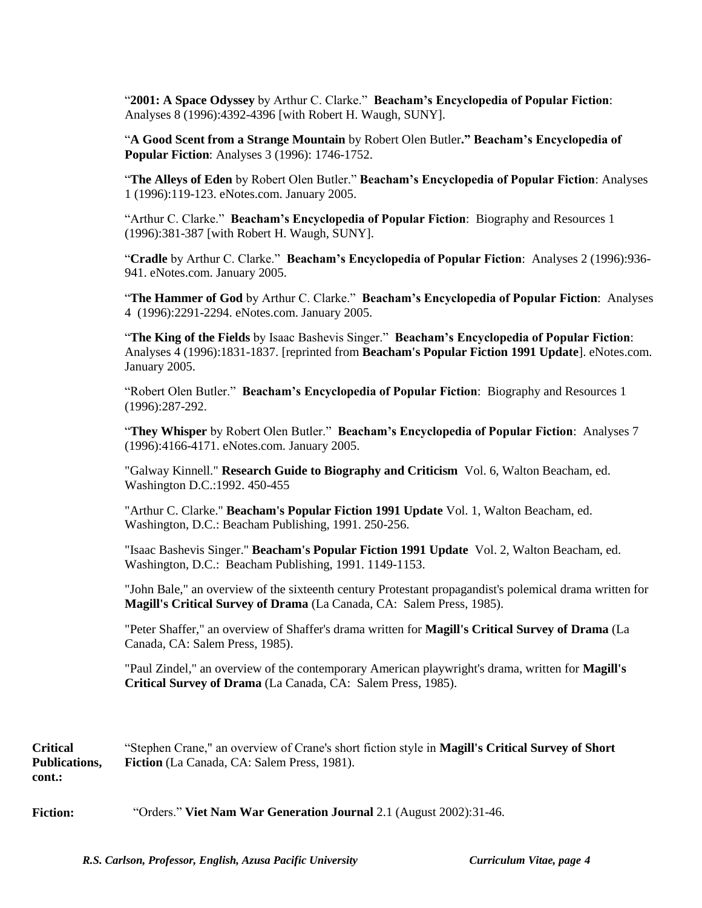"**2001: A Space Odyssey** by Arthur C. Clarke." **Beacham's Encyclopedia of Popular Fiction**: Analyses 8 (1996):4392-4396 [with Robert H. Waugh, SUNY].

"**A Good Scent from a Strange Mountain** by Robert Olen Butler**." Beacham's Encyclopedia of Popular Fiction**: Analyses 3 (1996): 1746-1752.

"**The Alleys of Eden** by Robert Olen Butler." **Beacham's Encyclopedia of Popular Fiction**: Analyses 1 (1996):119-123. eNotes.com. January 2005.

"Arthur C. Clarke." **Beacham's Encyclopedia of Popular Fiction**: Biography and Resources 1 (1996):381-387 [with Robert H. Waugh, SUNY].

"**Cradle** by Arthur C. Clarke." **Beacham's Encyclopedia of Popular Fiction**: Analyses 2 (1996):936- 941. eNotes.com. January 2005.

"**The Hammer of God** by Arthur C. Clarke." **Beacham's Encyclopedia of Popular Fiction**: Analyses 4 (1996):2291-2294. eNotes.com. January 2005.

"**The King of the Fields** by Isaac Bashevis Singer." **Beacham's Encyclopedia of Popular Fiction**: Analyses 4 (1996):1831-1837. [reprinted from **Beacham's Popular Fiction 1991 Update**]. eNotes.com. January 2005.

"Robert Olen Butler." **Beacham's Encyclopedia of Popular Fiction**: Biography and Resources 1 (1996):287-292.

"**They Whisper** by Robert Olen Butler." **Beacham's Encyclopedia of Popular Fiction**: Analyses 7 (1996):4166-4171. eNotes.com. January 2005.

"Galway Kinnell." **Research Guide to Biography and Criticism** Vol. 6, Walton Beacham, ed. Washington D.C.:1992. 450-455

"Arthur C. Clarke." **Beacham's Popular Fiction 1991 Update** Vol. 1, Walton Beacham, ed. Washington, D.C.: Beacham Publishing, 1991. 250-256.

"Isaac Bashevis Singer." **Beacham's Popular Fiction 1991 Update** Vol. 2, Walton Beacham, ed. Washington, D.C.: Beacham Publishing, 1991. 1149-1153.

"John Bale," an overview of the sixteenth century Protestant propagandist's polemical drama written for **Magill's Critical Survey of Drama** (La Canada, CA: Salem Press, 1985).

"Peter Shaffer," an overview of Shaffer's drama written for **Magill's Critical Survey of Drama** (La Canada, CA: Salem Press, 1985).

"Paul Zindel," an overview of the contemporary American playwright's drama, written for **Magill's Critical Survey of Drama** (La Canada, CA: Salem Press, 1985).

**Critical Publications, cont.:** "Stephen Crane," an overview of Crane's short fiction style in **Magill's Critical Survey of Short Fiction** (La Canada, CA: Salem Press, 1981).

**Fiction:** "Orders." **Viet Nam War Generation Journal** 2.1 (August 2002):31-46.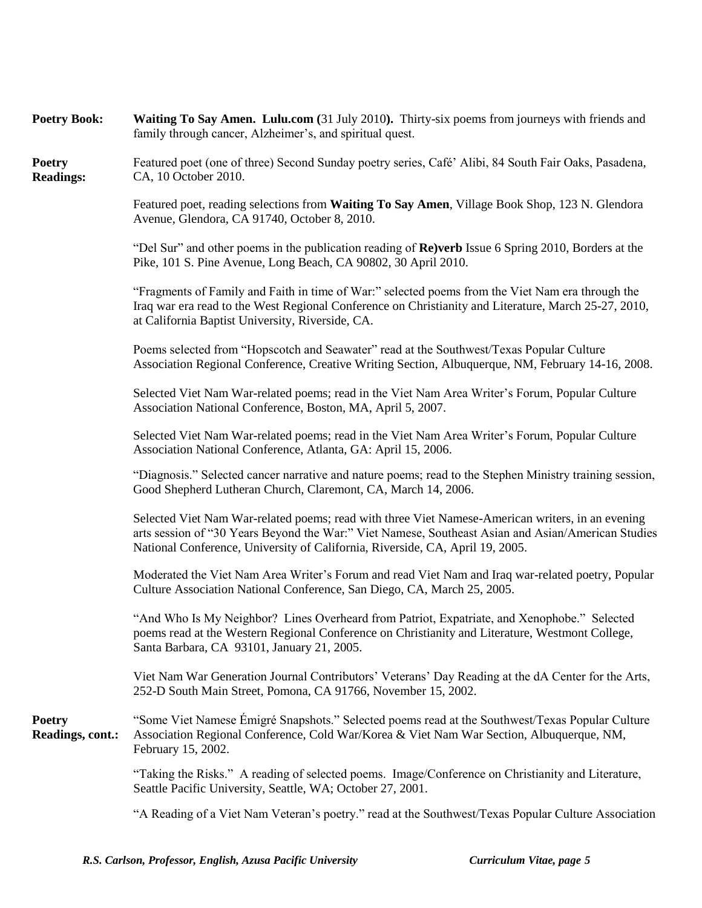| <b>Poetry Book:</b>               | Waiting To Say Amen. Lulu.com (31 July 2010). Thirty-six poems from journeys with friends and<br>family through cancer, Alzheimer's, and spiritual quest.                                                                                                                               |
|-----------------------------------|-----------------------------------------------------------------------------------------------------------------------------------------------------------------------------------------------------------------------------------------------------------------------------------------|
| <b>Poetry</b><br><b>Readings:</b> | Featured poet (one of three) Second Sunday poetry series, Café' Alibi, 84 South Fair Oaks, Pasadena,<br>CA, 10 October 2010.                                                                                                                                                            |
|                                   | Featured poet, reading selections from Waiting To Say Amen, Village Book Shop, 123 N. Glendora<br>Avenue, Glendora, CA 91740, October 8, 2010.                                                                                                                                          |
|                                   | "Del Sur" and other poems in the publication reading of $\bf{Re}$ ) verb Issue 6 Spring 2010, Borders at the<br>Pike, 101 S. Pine Avenue, Long Beach, CA 90802, 30 April 2010.                                                                                                          |
|                                   | "Fragments of Family and Faith in time of War:" selected poems from the Viet Nam era through the<br>Iraq war era read to the West Regional Conference on Christianity and Literature, March 25-27, 2010,<br>at California Baptist University, Riverside, CA.                            |
|                                   | Poems selected from "Hopscotch and Seawater" read at the Southwest/Texas Popular Culture<br>Association Regional Conference, Creative Writing Section, Albuquerque, NM, February 14-16, 2008.                                                                                           |
|                                   | Selected Viet Nam War-related poems; read in the Viet Nam Area Writer's Forum, Popular Culture<br>Association National Conference, Boston, MA, April 5, 2007.                                                                                                                           |
|                                   | Selected Viet Nam War-related poems; read in the Viet Nam Area Writer's Forum, Popular Culture<br>Association National Conference, Atlanta, GA: April 15, 2006.                                                                                                                         |
|                                   | "Diagnosis." Selected cancer narrative and nature poems; read to the Stephen Ministry training session,<br>Good Shepherd Lutheran Church, Claremont, CA, March 14, 2006.                                                                                                                |
|                                   | Selected Viet Nam War-related poems; read with three Viet Namese-American writers, in an evening<br>arts session of "30 Years Beyond the War:" Viet Namese, Southeast Asian and Asian/American Studies<br>National Conference, University of California, Riverside, CA, April 19, 2005. |
|                                   | Moderated the Viet Nam Area Writer's Forum and read Viet Nam and Iraq war-related poetry, Popular<br>Culture Association National Conference, San Diego, CA, March 25, 2005.                                                                                                            |
|                                   | "And Who Is My Neighbor? Lines Overheard from Patriot, Expatriate, and Xenophobe." Selected<br>poems read at the Western Regional Conference on Christianity and Literature, Westmont College,<br>Santa Barbara, CA 93101, January 21, 2005.                                            |
|                                   | Viet Nam War Generation Journal Contributors' Veterans' Day Reading at the dA Center for the Arts,<br>252-D South Main Street, Pomona, CA 91766, November 15, 2002.                                                                                                                     |
| <b>Poetry</b><br>Readings, cont.: | "Some Viet Namese Émigré Snapshots." Selected poems read at the Southwest/Texas Popular Culture<br>Association Regional Conference, Cold War/Korea & Viet Nam War Section, Albuquerque, NM,<br>February 15, 2002.                                                                       |
|                                   | "Taking the Risks." A reading of selected poems. Image/Conference on Christianity and Literature,<br>Seattle Pacific University, Seattle, WA; October 27, 2001.                                                                                                                         |
|                                   | "A Reading of a Viet Nam Veteran's poetry." read at the Southwest/Texas Popular Culture Association                                                                                                                                                                                     |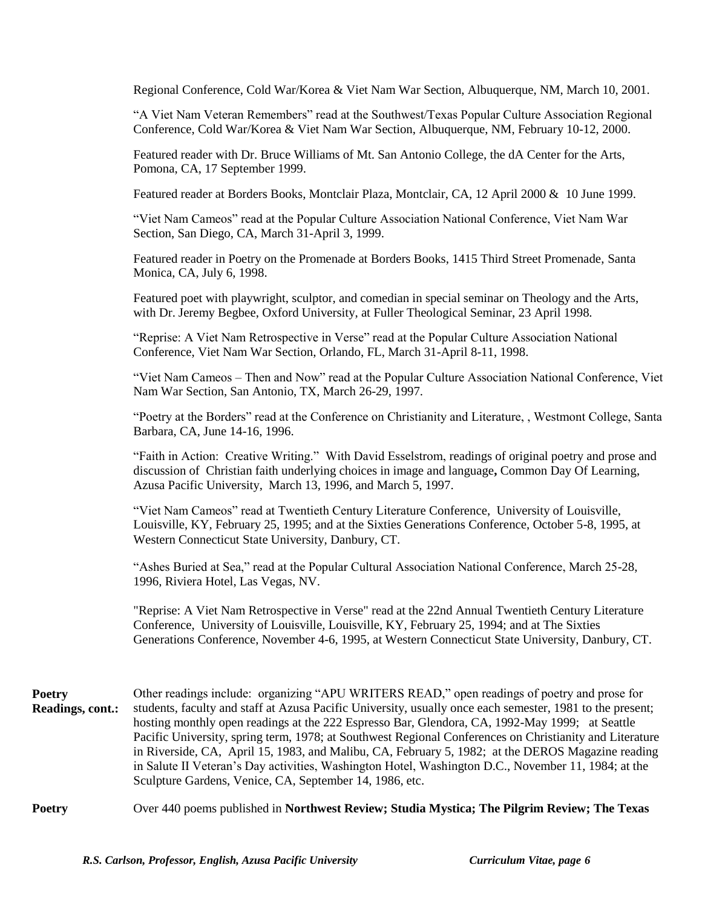Regional Conference, Cold War/Korea & Viet Nam War Section, Albuquerque, NM, March 10, 2001.

"A Viet Nam Veteran Remembers" read at the Southwest/Texas Popular Culture Association Regional Conference, Cold War/Korea & Viet Nam War Section, Albuquerque, NM, February 10-12, 2000.

Featured reader with Dr. Bruce Williams of Mt. San Antonio College, the dA Center for the Arts, Pomona, CA, 17 September 1999.

Featured reader at Borders Books, Montclair Plaza, Montclair, CA, 12 April 2000 & 10 June 1999.

"Viet Nam Cameos" read at the Popular Culture Association National Conference, Viet Nam War Section, San Diego, CA, March 31-April 3, 1999.

Featured reader in Poetry on the Promenade at Borders Books, 1415 Third Street Promenade, Santa Monica, CA, July 6, 1998.

Featured poet with playwright, sculptor, and comedian in special seminar on Theology and the Arts, with Dr. Jeremy Begbee, Oxford University, at Fuller Theological Seminar, 23 April 1998.

"Reprise: A Viet Nam Retrospective in Verse" read at the Popular Culture Association National Conference, Viet Nam War Section, Orlando, FL, March 31-April 8-11, 1998.

"Viet Nam Cameos – Then and Now" read at the Popular Culture Association National Conference, Viet Nam War Section, San Antonio, TX, March 26-29, 1997.

"Poetry at the Borders" read at the Conference on Christianity and Literature, , Westmont College, Santa Barbara, CA, June 14-16, 1996.

"Faith in Action: Creative Writing." With David Esselstrom, readings of original poetry and prose and discussion of Christian faith underlying choices in image and language**,** Common Day Of Learning, Azusa Pacific University, March 13, 1996, and March 5, 1997.

"Viet Nam Cameos" read at Twentieth Century Literature Conference, University of Louisville, Louisville, KY, February 25, 1995; and at the Sixties Generations Conference, October 5-8, 1995, at Western Connecticut State University, Danbury, CT.

"Ashes Buried at Sea," read at the Popular Cultural Association National Conference, March 25-28, 1996, Riviera Hotel, Las Vegas, NV.

"Reprise: A Viet Nam Retrospective in Verse" read at the 22nd Annual Twentieth Century Literature Conference, University of Louisville, Louisville, KY, February 25, 1994; and at The Sixties Generations Conference, November 4-6, 1995, at Western Connecticut State University, Danbury, CT.

- **Poetry Readings, cont.:** Other readings include: organizing "APU WRITERS READ," open readings of poetry and prose for students, faculty and staff at Azusa Pacific University, usually once each semester, 1981 to the present; hosting monthly open readings at the 222 Espresso Bar, Glendora, CA, 1992-May 1999; at Seattle Pacific University, spring term, 1978; at Southwest Regional Conferences on Christianity and Literature in Riverside, CA, April 15, 1983, and Malibu, CA, February 5, 1982; at the DEROS Magazine reading in Salute II Veteran"s Day activities, Washington Hotel, Washington D.C., November 11, 1984; at the Sculpture Gardens, Venice, CA, September 14, 1986, etc.
- **Poetry** Over 440 poems published in **Northwest Review; Studia Mystica; The Pilgrim Review; The Texas**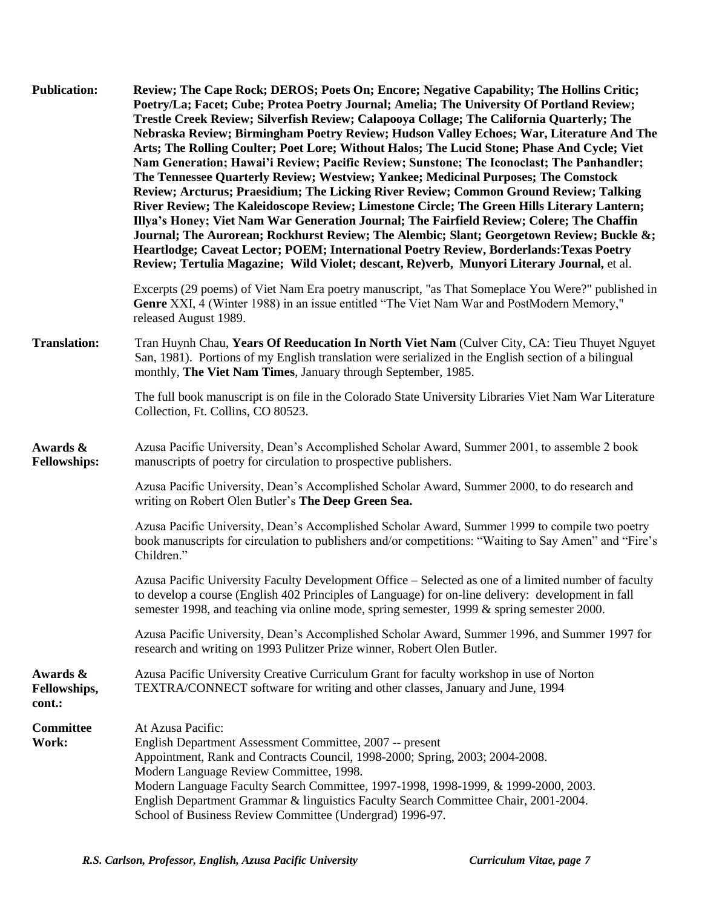| <b>Publication:</b>                | Review; The Cape Rock; DEROS; Poets On; Encore; Negative Capability; The Hollins Critic;<br>Poetry/La; Facet; Cube; Protea Poetry Journal; Amelia; The University Of Portland Review;<br>Trestle Creek Review; Silverfish Review; Calapooya Collage; The California Quarterly; The<br>Nebraska Review; Birmingham Poetry Review; Hudson Valley Echoes; War, Literature And The<br>Arts; The Rolling Coulter; Poet Lore; Without Halos; The Lucid Stone; Phase And Cycle; Viet<br>Nam Generation; Hawai'i Review; Pacific Review; Sunstone; The Iconoclast; The Panhandler;<br>The Tennessee Quarterly Review; Westview; Yankee; Medicinal Purposes; The Comstock<br>Review; Arcturus; Praesidium; The Licking River Review; Common Ground Review; Talking<br>River Review; The Kaleidoscope Review; Limestone Circle; The Green Hills Literary Lantern;<br>Illya's Honey; Viet Nam War Generation Journal; The Fairfield Review; Colere; The Chaffin<br>Journal; The Aurorean; Rockhurst Review; The Alembic; Slant; Georgetown Review; Buckle &;<br>Heartlodge; Caveat Lector; POEM; International Poetry Review, Borderlands: Texas Poetry<br>Review; Tertulia Magazine; Wild Violet; descant, Re)verb, Munyori Literary Journal, et al. |
|------------------------------------|--------------------------------------------------------------------------------------------------------------------------------------------------------------------------------------------------------------------------------------------------------------------------------------------------------------------------------------------------------------------------------------------------------------------------------------------------------------------------------------------------------------------------------------------------------------------------------------------------------------------------------------------------------------------------------------------------------------------------------------------------------------------------------------------------------------------------------------------------------------------------------------------------------------------------------------------------------------------------------------------------------------------------------------------------------------------------------------------------------------------------------------------------------------------------------------------------------------------------------------------|
|                                    | Excerpts (29 poems) of Viet Nam Era poetry manuscript, "as That Someplace You Were?" published in<br>Genre XXI, 4 (Winter 1988) in an issue entitled "The Viet Nam War and PostModern Memory,"<br>released August 1989.                                                                                                                                                                                                                                                                                                                                                                                                                                                                                                                                                                                                                                                                                                                                                                                                                                                                                                                                                                                                                    |
| <b>Translation:</b>                | Tran Huynh Chau, Years Of Reeducation In North Viet Nam (Culver City, CA: Tieu Thuyet Nguyet<br>San, 1981). Portions of my English translation were serialized in the English section of a bilingual<br>monthly, The Viet Nam Times, January through September, 1985.                                                                                                                                                                                                                                                                                                                                                                                                                                                                                                                                                                                                                                                                                                                                                                                                                                                                                                                                                                      |
|                                    | The full book manuscript is on file in the Colorado State University Libraries Viet Nam War Literature<br>Collection, Ft. Collins, CO 80523.                                                                                                                                                                                                                                                                                                                                                                                                                                                                                                                                                                                                                                                                                                                                                                                                                                                                                                                                                                                                                                                                                               |
| Awards &<br><b>Fellowships:</b>    | Azusa Pacific University, Dean's Accomplished Scholar Award, Summer 2001, to assemble 2 book<br>manuscripts of poetry for circulation to prospective publishers.                                                                                                                                                                                                                                                                                                                                                                                                                                                                                                                                                                                                                                                                                                                                                                                                                                                                                                                                                                                                                                                                           |
|                                    | Azusa Pacific University, Dean's Accomplished Scholar Award, Summer 2000, to do research and<br>writing on Robert Olen Butler's The Deep Green Sea.                                                                                                                                                                                                                                                                                                                                                                                                                                                                                                                                                                                                                                                                                                                                                                                                                                                                                                                                                                                                                                                                                        |
|                                    | Azusa Pacific University, Dean's Accomplished Scholar Award, Summer 1999 to compile two poetry<br>book manuscripts for circulation to publishers and/or competitions: "Waiting to Say Amen" and "Fire's<br>Children."                                                                                                                                                                                                                                                                                                                                                                                                                                                                                                                                                                                                                                                                                                                                                                                                                                                                                                                                                                                                                      |
|                                    | Azusa Pacific University Faculty Development Office – Selected as one of a limited number of faculty<br>to develop a course (English 402 Principles of Language) for on-line delivery: development in fall<br>semester 1998, and teaching via online mode, spring semester, 1999 & spring semester 2000.                                                                                                                                                                                                                                                                                                                                                                                                                                                                                                                                                                                                                                                                                                                                                                                                                                                                                                                                   |
|                                    | Azusa Pacific University, Dean's Accomplished Scholar Award, Summer 1996, and Summer 1997 for<br>research and writing on 1993 Pulitzer Prize winner, Robert Olen Butler.                                                                                                                                                                                                                                                                                                                                                                                                                                                                                                                                                                                                                                                                                                                                                                                                                                                                                                                                                                                                                                                                   |
| Awards &<br>Fellowships,<br>cont.: | Azusa Pacific University Creative Curriculum Grant for faculty workshop in use of Norton<br>TEXTRA/CONNECT software for writing and other classes, January and June, 1994                                                                                                                                                                                                                                                                                                                                                                                                                                                                                                                                                                                                                                                                                                                                                                                                                                                                                                                                                                                                                                                                  |
| Committee<br>Work:                 | At Azusa Pacific:<br>English Department Assessment Committee, 2007 -- present<br>Appointment, Rank and Contracts Council, 1998-2000; Spring, 2003; 2004-2008.<br>Modern Language Review Committee, 1998.<br>Modern Language Faculty Search Committee, 1997-1998, 1998-1999, & 1999-2000, 2003.<br>English Department Grammar & linguistics Faculty Search Committee Chair, 2001-2004.<br>School of Business Review Committee (Undergrad) 1996-97.                                                                                                                                                                                                                                                                                                                                                                                                                                                                                                                                                                                                                                                                                                                                                                                          |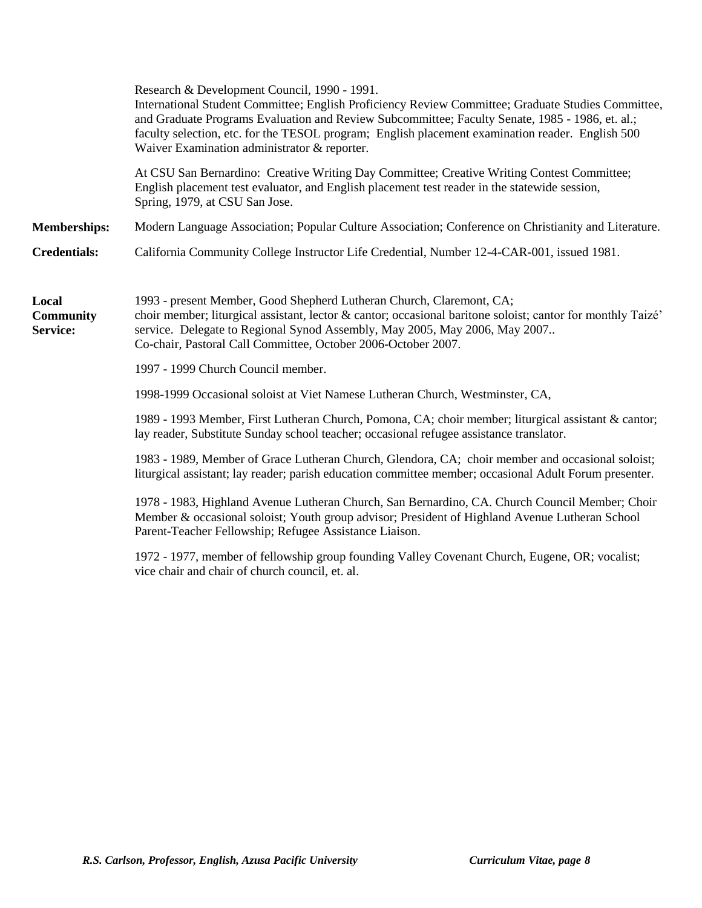|                                       | Research & Development Council, 1990 - 1991.<br>International Student Committee; English Proficiency Review Committee; Graduate Studies Committee,<br>and Graduate Programs Evaluation and Review Subcommittee; Faculty Senate, 1985 - 1986, et. al.;<br>faculty selection, etc. for the TESOL program; English placement examination reader. English 500<br>Waiver Examination administrator & reporter. |
|---------------------------------------|-----------------------------------------------------------------------------------------------------------------------------------------------------------------------------------------------------------------------------------------------------------------------------------------------------------------------------------------------------------------------------------------------------------|
|                                       | At CSU San Bernardino: Creative Writing Day Committee; Creative Writing Contest Committee;<br>English placement test evaluator, and English placement test reader in the statewide session,<br>Spring, 1979, at CSU San Jose.                                                                                                                                                                             |
| <b>Memberships:</b>                   | Modern Language Association; Popular Culture Association; Conference on Christianity and Literature.                                                                                                                                                                                                                                                                                                      |
| <b>Credentials:</b>                   | California Community College Instructor Life Credential, Number 12-4-CAR-001, issued 1981.                                                                                                                                                                                                                                                                                                                |
| Local<br><b>Community</b><br>Service: | 1993 - present Member, Good Shepherd Lutheran Church, Claremont, CA;<br>choir member; liturgical assistant, lector & cantor; occasional baritone soloist; cantor for monthly Taizé'<br>service. Delegate to Regional Synod Assembly, May 2005, May 2006, May 2007<br>Co-chair, Pastoral Call Committee, October 2006-October 2007.                                                                        |
|                                       | 1997 - 1999 Church Council member.                                                                                                                                                                                                                                                                                                                                                                        |
|                                       | 1998-1999 Occasional soloist at Viet Namese Lutheran Church, Westminster, CA,                                                                                                                                                                                                                                                                                                                             |
|                                       | 1989 - 1993 Member, First Lutheran Church, Pomona, CA; choir member; liturgical assistant & cantor;<br>lay reader, Substitute Sunday school teacher; occasional refugee assistance translator.                                                                                                                                                                                                            |
|                                       | 1983 - 1989, Member of Grace Lutheran Church, Glendora, CA; choir member and occasional soloist;<br>liturgical assistant; lay reader; parish education committee member; occasional Adult Forum presenter.                                                                                                                                                                                                |
|                                       | 1978 - 1983, Highland Avenue Lutheran Church, San Bernardino, CA. Church Council Member; Choir<br>Member & occasional soloist; Youth group advisor; President of Highland Avenue Lutheran School<br>Parent-Teacher Fellowship; Refugee Assistance Liaison.                                                                                                                                                |
|                                       | 1972 - 1977, member of fellowship group founding Valley Covenant Church, Eugene, OR; vocalist;                                                                                                                                                                                                                                                                                                            |

vice chair and chair of church council, et. al.